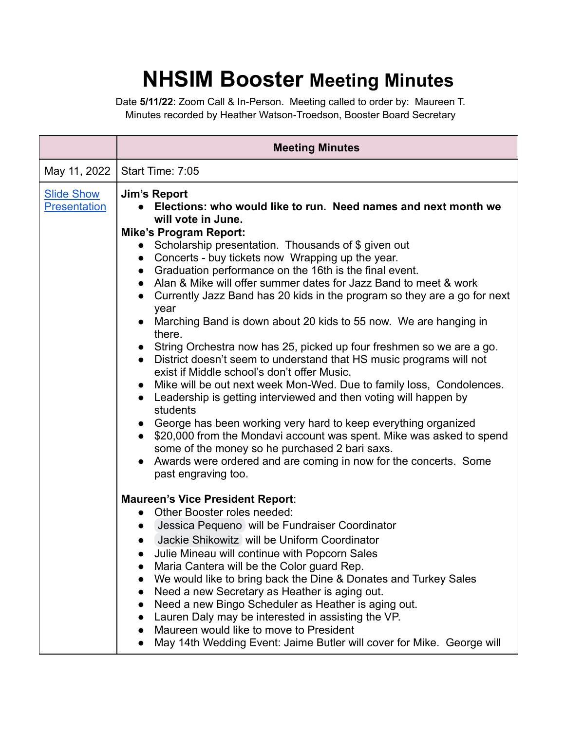## **NHSIM Booster Meeting Minutes**

Date **5/11/22**: Zoom Call & In-Person. Meeting called to order by: Maureen T. Minutes recorded by Heather Watson-Troedson, Booster Board Secretary

|                                          | <b>Meeting Minutes</b>                                                                                                                                                                                                                                                                                                                                                                                                                                                                                                                                                                                                                                                                                                                                                                                                                                                                                                                                                                                                                                                                                                                                                                                                                                        |
|------------------------------------------|---------------------------------------------------------------------------------------------------------------------------------------------------------------------------------------------------------------------------------------------------------------------------------------------------------------------------------------------------------------------------------------------------------------------------------------------------------------------------------------------------------------------------------------------------------------------------------------------------------------------------------------------------------------------------------------------------------------------------------------------------------------------------------------------------------------------------------------------------------------------------------------------------------------------------------------------------------------------------------------------------------------------------------------------------------------------------------------------------------------------------------------------------------------------------------------------------------------------------------------------------------------|
| May 11, 2022                             | Start Time: 7:05                                                                                                                                                                                                                                                                                                                                                                                                                                                                                                                                                                                                                                                                                                                                                                                                                                                                                                                                                                                                                                                                                                                                                                                                                                              |
| <b>Slide Show</b><br><b>Presentation</b> | <b>Jim's Report</b><br>Elections: who would like to run. Need names and next month we<br>will vote in June.<br><b>Mike's Program Report:</b><br>Scholarship presentation. Thousands of \$ given out<br>$\bullet$<br>Concerts - buy tickets now Wrapping up the year.<br>$\bullet$<br>• Graduation performance on the 16th is the final event.<br>• Alan & Mike will offer summer dates for Jazz Band to meet & work<br>• Currently Jazz Band has 20 kids in the program so they are a go for next<br>year<br>• Marching Band is down about 20 kids to 55 now. We are hanging in<br>there.<br>• String Orchestra now has 25, picked up four freshmen so we are a go.<br>• District doesn't seem to understand that HS music programs will not<br>exist if Middle school's don't offer Music.<br>• Mike will be out next week Mon-Wed. Due to family loss, Condolences.<br>• Leadership is getting interviewed and then voting will happen by<br>students<br>• George has been working very hard to keep everything organized<br>\$20,000 from the Mondavi account was spent. Mike was asked to spend<br>$\bullet$<br>some of the money so he purchased 2 bari saxs.<br>Awards were ordered and are coming in now for the concerts. Some<br>past engraving too. |
|                                          | <b>Maureen's Vice President Report:</b><br>Other Booster roles needed:<br>$\bullet$<br>Jessica Pequeno will be Fundraiser Coordinator<br>$\bullet$<br>Jackie Shikowitz will be Uniform Coordinator<br>$\bullet$<br>Julie Mineau will continue with Popcorn Sales<br>Maria Cantera will be the Color guard Rep.<br>We would like to bring back the Dine & Donates and Turkey Sales<br>Need a new Secretary as Heather is aging out.<br>Need a new Bingo Scheduler as Heather is aging out.<br>Lauren Daly may be interested in assisting the VP.<br>Maureen would like to move to President<br>May 14th Wedding Event: Jaime Butler will cover for Mike. George will                                                                                                                                                                                                                                                                                                                                                                                                                                                                                                                                                                                           |